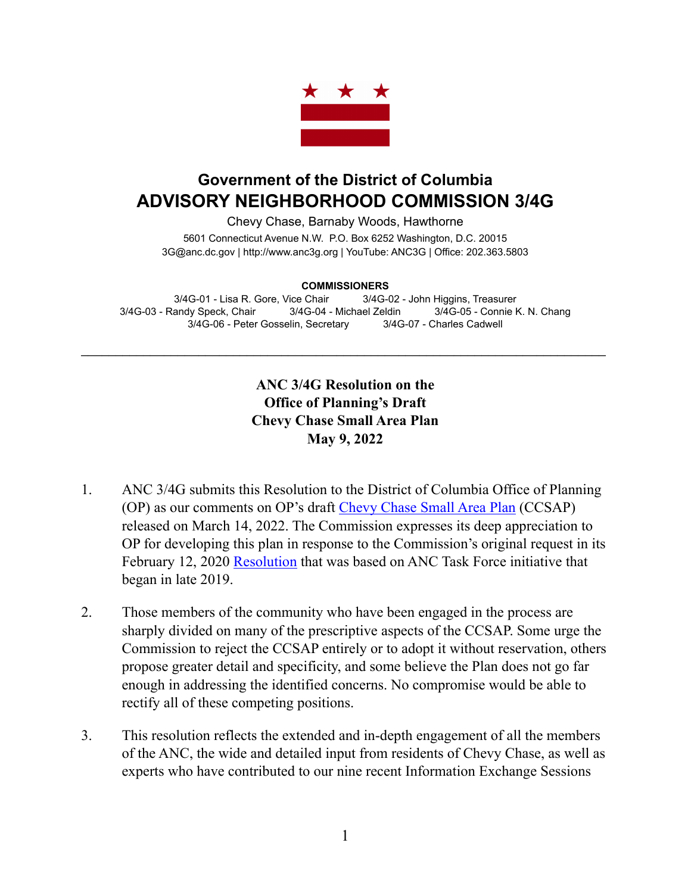

## **Government of the District of Columbia ADVISORY NEIGHBORHOOD COMMISSION 3/4G**

Chevy Chase, Barnaby Woods, Hawthorne 5601 Connecticut Avenue N.W. P.O. Box 6252 Washington, D.C. 20015 3G@anc.dc.gov | <http://www.anc3g.org>| YouTube: ANC3G | Office: 202.363.5803

**COMMISSIONERS**

3/4G-01 - Lisa R. Gore, Vice Chair 3/4G-02 - John Higgins, Treasurer 3/4G-03 - Randy Speck, Chair 3/4G-04 - Michael Zeldin 3/4G-05 - Connie K. N. Chang 3/4G-06 - Peter Gosselin, Secretary 3/4G-07 - Charles Cadwell

\_\_\_\_\_\_\_\_\_\_\_\_\_\_\_\_\_\_\_\_\_\_\_\_\_\_\_\_\_\_\_\_\_\_\_\_\_\_\_\_\_\_\_\_\_\_\_\_\_\_\_\_\_\_\_\_\_\_\_\_\_\_\_\_\_\_\_\_\_\_\_\_\_\_\_\_

## **ANC 3/4G Resolution on the Office of Planning's Draft Chevy Chase Small Area Plan May 9, 2022**

- 1. ANC 3/4G submits this Resolution to the District of Columbia Office of Planning (OP) as our comments on OP's draft [Chevy Chase Small Area Plan](https://publicinput.com/Customer/File/Full/cc763d91-1c5b-4982-afc7-9d57e1670ca3) (CCSAP) released on March 14, 2022. The Commission expresses its deep appreciation to OP for developing this plan in response to the Commission's original request in its February 12, 2020 [Resolution](https://anc3g.org/wp-content/uploads/2020/02/Comp-Plan-Res-Final.pdf) that was based on ANC Task Force initiative that began in late 2019.
- 2. Those members of the community who have been engaged in the process are sharply divided on many of the prescriptive aspects of the CCSAP. Some urge the Commission to reject the CCSAP entirely or to adopt it without reservation, others propose greater detail and specificity, and some believe the Plan does not go far enough in addressing the identified concerns. No compromise would be able to rectify all of these competing positions.
- 3. This resolution reflects the extended and in-depth engagement of all the members of the ANC, the wide and detailed input from residents of Chevy Chase, as well as experts who have contributed to our nine recent Information Exchange Sessions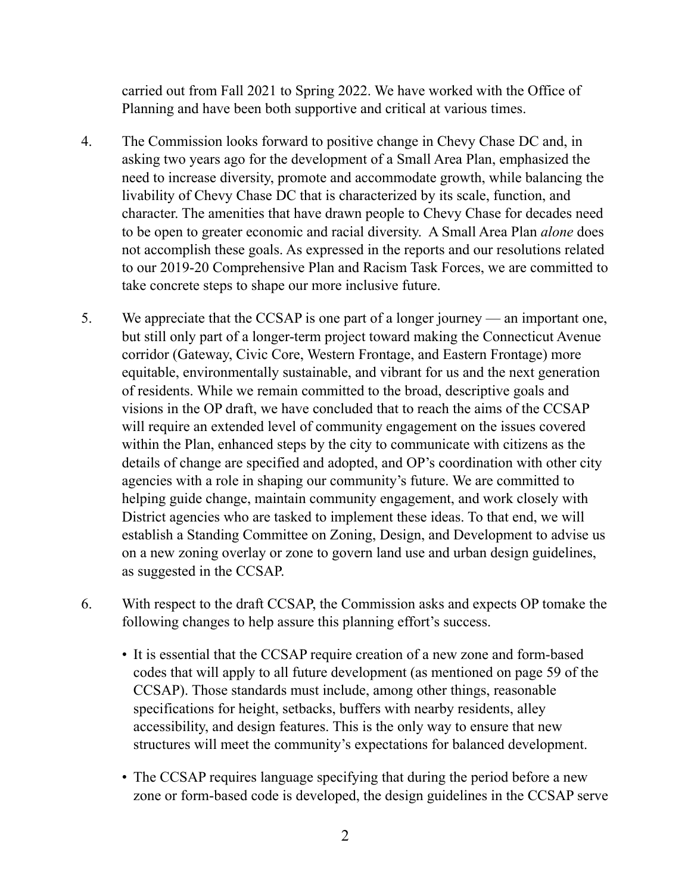carried out from Fall 2021 to Spring 2022. We have worked with the Office of Planning and have been both supportive and critical at various times.

- 4. The Commission looks forward to positive change in Chevy Chase DC and, in asking two years ago for the development of a Small Area Plan, emphasized the need to increase diversity, promote and accommodate growth, while balancing the livability of Chevy Chase DC that is characterized by its scale, function, and character. The amenities that have drawn people to Chevy Chase for decades need to be open to greater economic and racial diversity. A Small Area Plan *alone* does not accomplish these goals. As expressed in the reports and our resolutions related to our 2019-20 Comprehensive Plan and Racism Task Forces, we are committed to take concrete steps to shape our more inclusive future.
- 5. We appreciate that the CCSAP is one part of a longer journey an important one, but still only part of a longer-term project toward making the Connecticut Avenue corridor (Gateway, Civic Core, Western Frontage, and Eastern Frontage) more equitable, environmentally sustainable, and vibrant for us and the next generation of residents. While we remain committed to the broad, descriptive goals and visions in the OP draft, we have concluded that to reach the aims of the CCSAP will require an extended level of community engagement on the issues covered within the Plan, enhanced steps by the city to communicate with citizens as the details of change are specified and adopted, and OP's coordination with other city agencies with a role in shaping our community's future. We are committed to helping guide change, maintain community engagement, and work closely with District agencies who are tasked to implement these ideas. To that end, we will establish a Standing Committee on Zoning, Design, and Development to advise us on a new zoning overlay or zone to govern land use and urban design guidelines, as suggested in the CCSAP.
- 6. With respect to the draft CCSAP, the Commission asks and expects OP tomake the following changes to help assure this planning effort's success.
	- It is essential that the CCSAP require creation of a new zone and form-based codes that will apply to all future development (as mentioned on page 59 of the CCSAP). Those standards must include, among other things, reasonable specifications for height, setbacks, buffers with nearby residents, alley accessibility, and design features. This is the only way to ensure that new structures will meet the community's expectations for balanced development.
	- The CCSAP requires language specifying that during the period before a new zone or form-based code is developed, the design guidelines in the CCSAP serve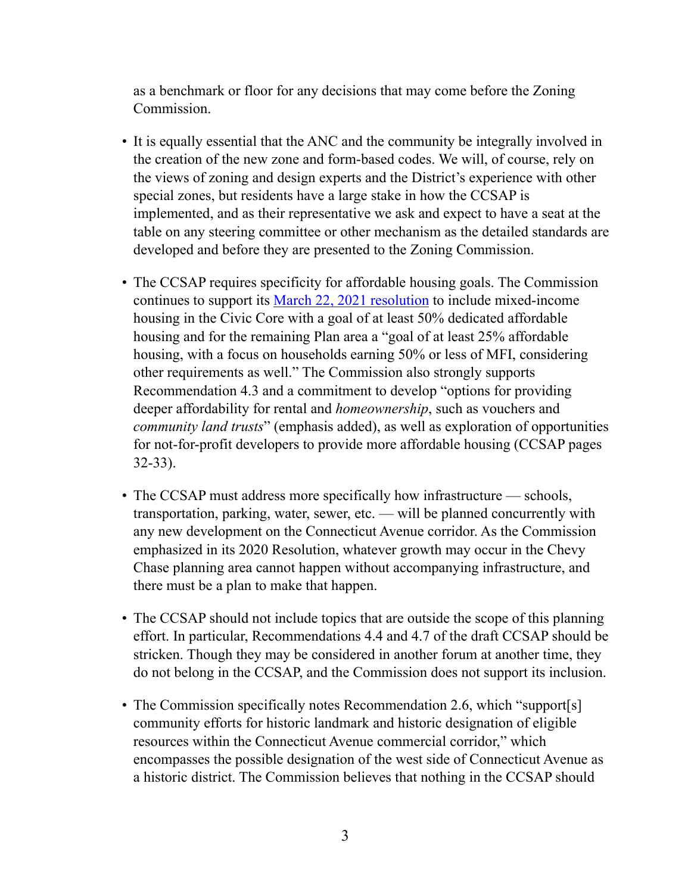as a benchmark or floor for any decisions that may come before the Zoning Commission.

- It is equally essential that the ANC and the community be integrally involved in the creation of the new zone and form-based codes. We will, of course, rely on the views of zoning and design experts and the District's experience with other special zones, but residents have a large stake in how the CCSAP is implemented, and as their representative we ask and expect to have a seat at the table on any steering committee or other mechanism as the detailed standards are developed and before they are presented to the Zoning Commission.
- The CCSAP requires specificity for affordable housing goals. The Commission continues to support its [March 22, 2021 resolution](https://anc3g.org/wp-content/uploads/2021/04/3-22-2021-Meeting-Minutes.pdf) to include mixed-income housing in the Civic Core with a goal of at least 50% dedicated affordable housing and for the remaining Plan area a "goal of at least 25% affordable housing, with a focus on households earning 50% or less of MFI, considering other requirements as well." The Commission also strongly supports Recommendation 4.3 and a commitment to develop "options for providing deeper affordability for rental and *homeownership*, such as vouchers and *community land trusts*" (emphasis added), as well as exploration of opportunities for not-for-profit developers to provide more affordable housing (CCSAP pages 32-33).
- The CCSAP must address more specifically how infrastructure schools, transportation, parking, water, sewer, etc. — will be planned concurrently with any new development on the Connecticut Avenue corridor. As the Commission emphasized in its 2020 Resolution, whatever growth may occur in the Chevy Chase planning area cannot happen without accompanying infrastructure, and there must be a plan to make that happen.
- The CCSAP should not include topics that are outside the scope of this planning effort. In particular, Recommendations 4.4 and 4.7 of the draft CCSAP should be stricken. Though they may be considered in another forum at another time, they do not belong in the CCSAP, and the Commission does not support its inclusion.
- The Commission specifically notes Recommendation 2.6, which "support[s] community efforts for historic landmark and historic designation of eligible resources within the Connecticut Avenue commercial corridor," which encompasses the possible designation of the west side of Connecticut Avenue as a historic district. The Commission believes that nothing in the CCSAP should